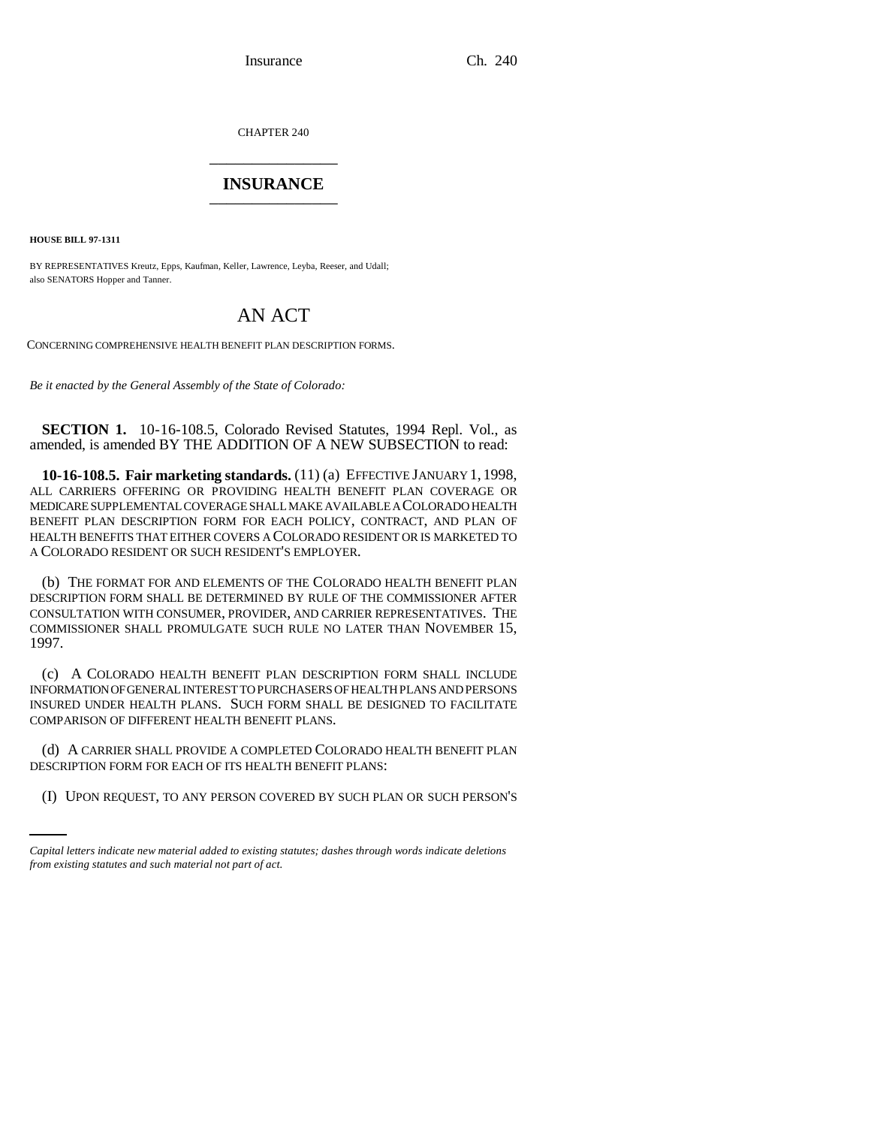Insurance Ch. 240

CHAPTER 240 \_\_\_\_\_\_\_\_\_\_\_\_\_\_\_

## **INSURANCE** \_\_\_\_\_\_\_\_\_\_\_\_\_\_\_

**HOUSE BILL 97-1311**

BY REPRESENTATIVES Kreutz, Epps, Kaufman, Keller, Lawrence, Leyba, Reeser, and Udall; also SENATORS Hopper and Tanner.

## AN ACT

CONCERNING COMPREHENSIVE HEALTH BENEFIT PLAN DESCRIPTION FORMS.

*Be it enacted by the General Assembly of the State of Colorado:*

**SECTION 1.** 10-16-108.5, Colorado Revised Statutes, 1994 Repl. Vol., as amended, is amended BY THE ADDITION OF A NEW SUBSECTION to read:

**10-16-108.5. Fair marketing standards.** (11) (a) EFFECTIVE JANUARY 1, 1998, ALL CARRIERS OFFERING OR PROVIDING HEALTH BENEFIT PLAN COVERAGE OR MEDICARE SUPPLEMENTAL COVERAGE SHALL MAKE AVAILABLE A COLORADO HEALTH BENEFIT PLAN DESCRIPTION FORM FOR EACH POLICY, CONTRACT, AND PLAN OF HEALTH BENEFITS THAT EITHER COVERS A COLORADO RESIDENT OR IS MARKETED TO A COLORADO RESIDENT OR SUCH RESIDENT'S EMPLOYER.

(b) THE FORMAT FOR AND ELEMENTS OF THE COLORADO HEALTH BENEFIT PLAN DESCRIPTION FORM SHALL BE DETERMINED BY RULE OF THE COMMISSIONER AFTER CONSULTATION WITH CONSUMER, PROVIDER, AND CARRIER REPRESENTATIVES. THE COMMISSIONER SHALL PROMULGATE SUCH RULE NO LATER THAN NOVEMBER 15, 1997.

(c) A COLORADO HEALTH BENEFIT PLAN DESCRIPTION FORM SHALL INCLUDE INFORMATION OF GENERAL INTEREST TO PURCHASERS OF HEALTH PLANS AND PERSONS INSURED UNDER HEALTH PLANS. SUCH FORM SHALL BE DESIGNED TO FACILITATE COMPARISON OF DIFFERENT HEALTH BENEFIT PLANS.

(C) IT CHRICK STREET NOVIBET COMPLETED COLORIDO (d) A CARRIER SHALL PROVIDE A COMPLETED COLORADO HEALTH BENEFIT PLAN

(I) UPON REQUEST, TO ANY PERSON COVERED BY SUCH PLAN OR SUCH PERSON'S

*Capital letters indicate new material added to existing statutes; dashes through words indicate deletions from existing statutes and such material not part of act.*